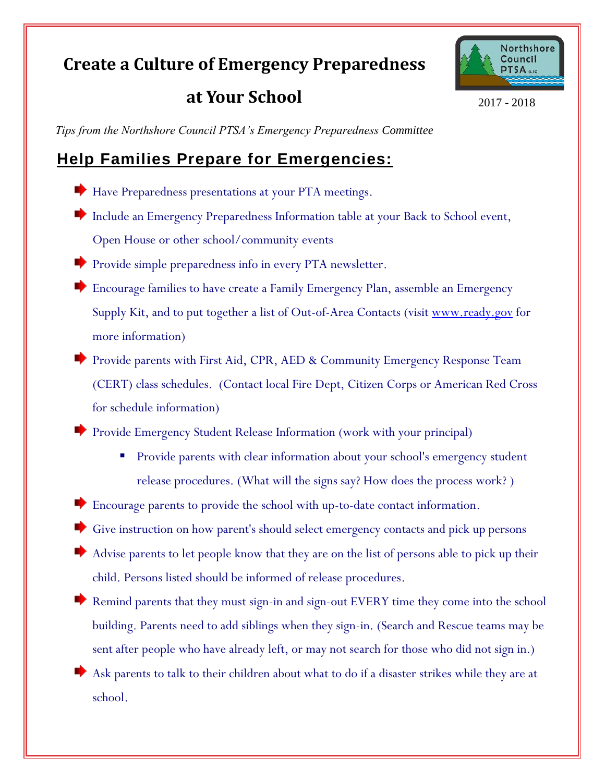## **Create a Culture of Emergency Preparedness**

**at Your School**



2017 - 2018

*Tips from the Northshore Council PTSA's Emergency Preparedness Committee*

## **Help Families Prepare for Emergencies:**

- Have Preparedness presentations at your PTA meetings.
- Include an Emergency Preparedness Information table at your Back to School event, Open House or other school/community events
- Provide simple preparedness info in every PTA newsletter.
- Encourage families to have create a Family Emergency Plan, assemble an Emergency Supply Kit, and to put together a list of Out-of-Area Contacts (visit [www.ready.gov](http://www.ready.gov/) for more information)
- Provide parents with First Aid, CPR, AED & Community Emergency Response Team (CERT) class schedules. (Contact local Fire Dept, Citizen Corps or American Red Cross for schedule information)

Provide Emergency Student Release Information (work with your principal)

 Provide parents with clear information about your school's emergency student release procedures. (What will the signs say? How does the process work? )

Encourage parents to provide the school with up-to-date contact information.

Give instruction on how parent's should select emergency contacts and pick up persons

- Advise parents to let people know that they are on the list of persons able to pick up their child. Persons listed should be informed of release procedures.
- Remind parents that they must sign-in and sign-out EVERY time they come into the school building. Parents need to add siblings when they sign-in. (Search and Rescue teams may be sent after people who have already left, or may not search for those who did not sign in.)
- Ask parents to talk to their children about what to do if a disaster strikes while they are at school.